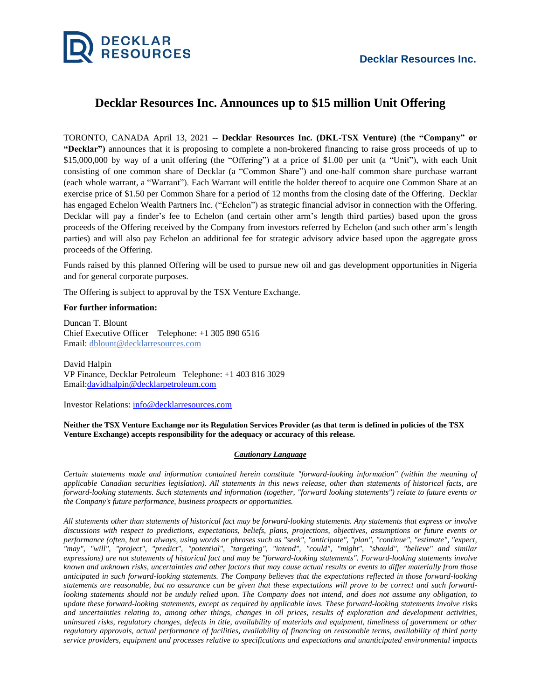

## **Decklar Resources Inc. Announces up to \$15 million Unit Offering**

TORONTO, CANADA April 13, 2021 -- **Decklar Resources Inc. (DKL-TSX Venture)** (**the "Company" or "Decklar")** announces that it is proposing to complete a non-brokered financing to raise gross proceeds of up to \$15,000,000 by way of a unit offering (the "Offering") at a price of \$1.00 per unit (a "Unit"), with each Unit consisting of one common share of Decklar (a "Common Share") and one-half common share purchase warrant (each whole warrant, a "Warrant"). Each Warrant will entitle the holder thereof to acquire one Common Share at an exercise price of \$1.50 per Common Share for a period of 12 months from the closing date of the Offering. Decklar has engaged Echelon Wealth Partners Inc. ("Echelon") as strategic financial advisor in connection with the Offering. Decklar will pay a finder's fee to Echelon (and certain other arm's length third parties) based upon the gross proceeds of the Offering received by the Company from investors referred by Echelon (and such other arm's length parties) and will also pay Echelon an additional fee for strategic advisory advice based upon the aggregate gross proceeds of the Offering.

Funds raised by this planned Offering will be used to pursue new oil and gas development opportunities in Nigeria and for general corporate purposes.

The Offering is subject to approval by the TSX Venture Exchange.

## **For further information:**

Duncan T. Blount Chief Executive Officer Telephone: +1 305 890 6516 Email: [dblount@decklarresources.com](mailto:dblount@decklarresources.com)

David Halpin VP Finance, Decklar Petroleum Telephone: +1 403 816 3029 Email[:davidhalpin@decklarpetroleum.com](mailto:davidhalpin@decklarpetroleum.com)

Investor Relations: [info@decklarresources.com](mailto:info@decklarresources.com)

## Neither the TSX Venture Exchange nor its Regulation Services Provider (as that term is defined in policies of the TSX **Venture Exchange) accepts responsibility for the adequacy or accuracy of this release.**

## *Cautionary Language*

*Certain statements made and information contained herein constitute "forward-looking information" (within the meaning of* applicable Canadian securities legislation). All statements in this news release, other than statements of historical facts, are forward-looking statements. Such statements and information (together, "forward looking statements") relate to future events or *the Company's future performance, business prospects or opportunities.*

All statements other than statements of historical fact may be forward-looking statements. Any statements that express or involve discussions with respect to predictions, expectations, beliefs, plans, projections, objectives, assumptions or future events or performance (often, but not always, using words or phrases such as "seek", "anticipate", "plan", "continue", "estimate", "expect, *"may", "will", "project", "predict", "potential", "targeting", "intend", "could", "might", "should", "believe" and similar* expressions) are not statements of historical fact and may be "forward-looking statements". Forward-looking statements involve known and unknown risks, uncertainties and other factors that may cause actual results or events to differ materially from those anticipated in such forward-looking statements. The Company believes that the expectations reflected in those forward-looking statements are reasonable, but no assurance can be given that these expectations will prove to be correct and such forwardlooking statements should not be unduly relied upon. The Company does not intend, and does not assume any obligation, to update these forward-looking statements, except as required by applicable laws. These forward-looking statements involve risks and uncertainties relating to, among other things, changes in oil prices, results of exploration and development activities, uninsured risks, regulatory changes, defects in title, availability of materials and equipment, timeliness of government or other regulatory approvals, actual performance of facilities, availability of financing on reasonable terms, availability of third party *service providers, equipment and processes relative to specifications and expectations and unanticipated environmental impacts*